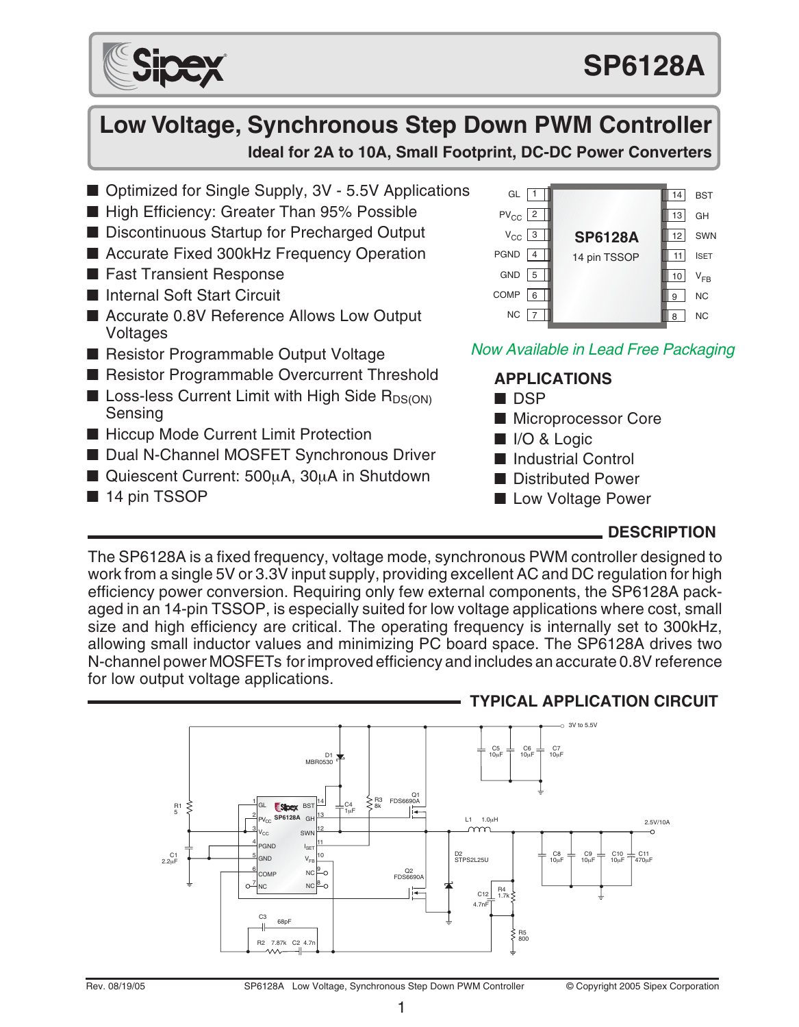

# **Low Voltage, Synchronous Step Down PWM Controller Ideal for 2A to 10A, Small Footprint, DC-DC Power Converters**

- Optimized for Single Supply, 3V 5.5V Applications
- High Efficiency: Greater Than 95% Possible
- Discontinuous Startup for Precharged Output
- Accurate Fixed 300kHz Frequency Operation
- Fast Transient Response
- Internal Soft Start Circuit
- Accurate 0.8V Reference Allows Low Output Voltages
- Resistor Programmable Output Voltage
- Resistor Programmable Overcurrent Threshold
- **E** Loss-less Current Limit with High Side  $R_{DS(ON)}$ Sensing
- Hiccup Mode Current Limit Protection
- Dual N-Channel MOSFET Synchronous Driver
- Quiescent Current: 500µA, 30µA in Shutdown
- 14 pin TSSOP



## Now Available in Lead Free Packaging

### **APPLICATIONS**

- DSP
- Microprocessor Core
- I/O & Logic
- Industrial Control
- Distributed Power
- Low Voltage Power

### **DESCRIPTION**

The SP6128A is a fixed frequency, voltage mode, synchronous PWM controller designed to work from a single 5V or 3.3V input supply, providing excellent AC and DC regulation for high efficiency power conversion. Requiring only few external components, the SP6128A packaged in an 14-pin TSSOP, is especially suited for low voltage applications where cost, small size and high efficiency are critical. The operating frequency is internally set to 300kHz, allowing small inductor values and minimizing PC board space. The SP6128A drives two N-channel power MOSFETs for improved efficiency and includes an accurate 0.8V reference for low output voltage applications.



### **TYPICAL APPLICATION CIRCUIT**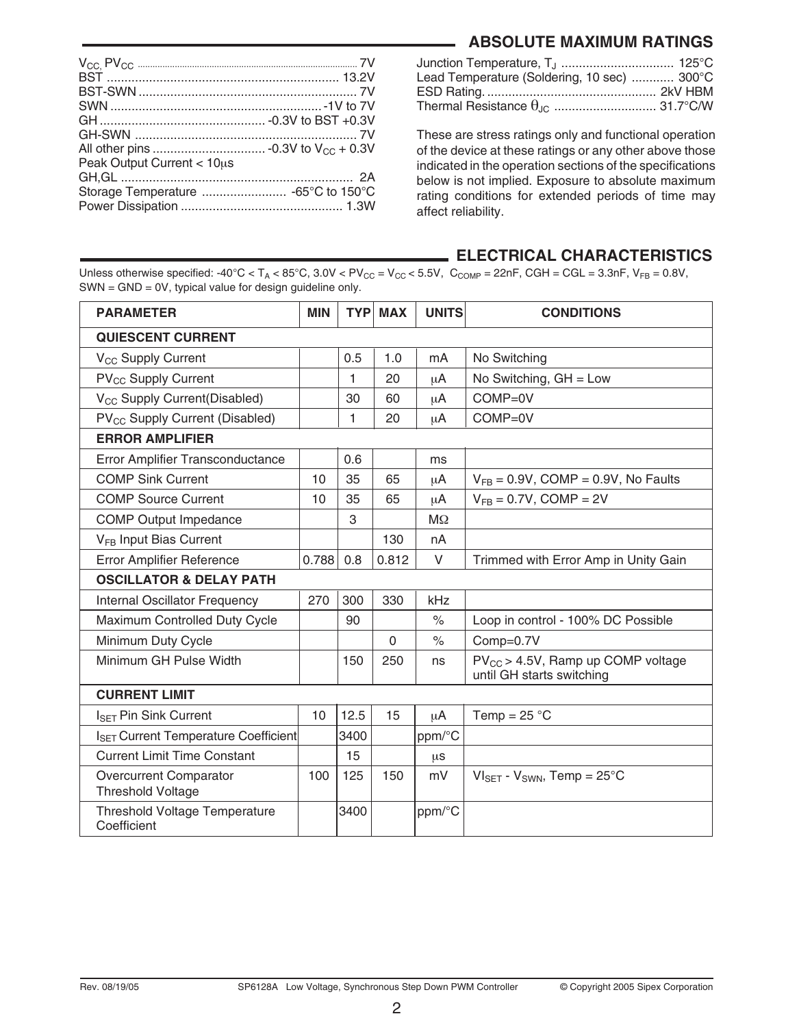### **ABSOLUTE MAXIMUM RATINGS**

| Peak Output Current < 10us |  |
|----------------------------|--|
|                            |  |
|                            |  |
|                            |  |

| Junction Temperature, T <sub>J</sub> 125°C       |
|--------------------------------------------------|
| Lead Temperature (Soldering, 10 sec)  300°C      |
|                                                  |
| Thermal Resistance $\theta_{\text{JC}}$ 31.7°C/W |
|                                                  |

These are stress ratings only and functional operation of the device at these ratings or any other above those indicated in the operation sections of the specifications below is not implied. Exposure to absolute maximum rating conditions for extended periods of time may affect reliability.

#### **ELECTRICAL CHARACTERISTICS**

Unless otherwise specified:  $-40^{\circ}$ C < T<sub>A</sub> < 85°C,  $3.0$ V < PV<sub>CC</sub> = V<sub>CC</sub> < 5.5V, C<sub>COMP</sub> = 22nF, CGH = CGL =  $3.3$ nF, V<sub>FB</sub> = 0.8V, SWN = GND = 0V, typical value for design guideline only.

| <b>PARAMETER</b>                                          | <b>MIN</b> |      | <b>TYP MAX</b> | <b>UNITS</b> | <b>CONDITIONS</b>                                                   |
|-----------------------------------------------------------|------------|------|----------------|--------------|---------------------------------------------------------------------|
| <b>QUIESCENT CURRENT</b>                                  |            |      |                |              |                                                                     |
| V <sub>CC</sub> Supply Current                            |            | 0.5  | 1.0            | mA           | No Switching                                                        |
| PV <sub>CC</sub> Supply Current                           |            | 1    | 20             | μA           | No Switching, $GH = Low$                                            |
| V <sub>CC</sub> Supply Current(Disabled)                  |            | 30   | 60             | μA           | $COMP = 0V$                                                         |
| PV <sub>CC</sub> Supply Current (Disabled)                |            | 1    | 20             | μA           | $COMP = 0V$                                                         |
| <b>ERROR AMPLIFIER</b>                                    |            |      |                |              |                                                                     |
| Error Amplifier Transconductance                          |            | 0.6  |                | ms           |                                                                     |
| <b>COMP Sink Current</b>                                  | 10         | 35   | 65             | μA           | $V_{FB} = 0.9V$ , COMP = 0.9V, No Faults                            |
| <b>COMP Source Current</b>                                | 10         | 35   | 65             | μA           | $V_{FB} = 0.7V$ , COMP = 2V                                         |
| <b>COMP Output Impedance</b>                              |            | 3    |                | $M\Omega$    |                                                                     |
| V <sub>FB</sub> Input Bias Current                        |            |      | 130            | nA           |                                                                     |
| <b>Error Amplifier Reference</b>                          | 0.788      | 0.8  | 0.812          | V            | Trimmed with Error Amp in Unity Gain                                |
| <b>OSCILLATOR &amp; DELAY PATH</b>                        |            |      |                |              |                                                                     |
| Internal Oscillator Frequency                             | 270        | 300  | 330            | kHz          |                                                                     |
| Maximum Controlled Duty Cycle                             |            | 90   |                | $\%$         | Loop in control - 100% DC Possible                                  |
| Minimum Duty Cycle                                        |            |      | $\Omega$       | $\%$         | Comp=0.7V                                                           |
| Minimum GH Pulse Width                                    |            | 150  | 250            | ns           | $PV_{CC}$ > 4.5V, Ramp up COMP voltage<br>until GH starts switching |
| <b>CURRENT LIMIT</b>                                      |            |      |                |              |                                                                     |
| $I_{\text{SET}}$ Pin Sink Current                         | 10         | 12.5 | 15             | μA           | Temp = $25^{\circ}$ C                                               |
| I <sub>SET</sub> Current Temperature Coefficient          |            | 3400 |                | ppm/°C       |                                                                     |
| <b>Current Limit Time Constant</b>                        |            | 15   |                | μs           |                                                                     |
| <b>Overcurrent Comparator</b><br><b>Threshold Voltage</b> | 100        | 125  | 150            | mV           | $VI_{SET}$ - $V_{SWN}$ , Temp = 25°C                                |
| <b>Threshold Voltage Temperature</b><br>Coefficient       |            | 3400 |                | ppm/°C       |                                                                     |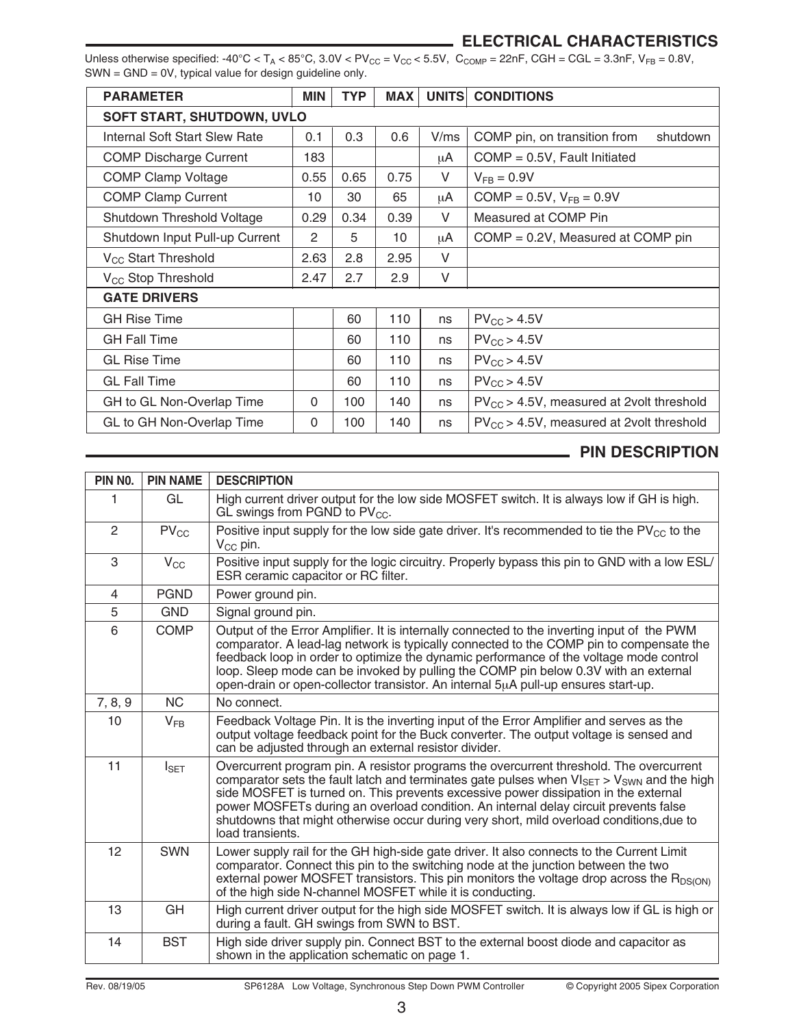#### **ELECTRICAL CHARACTERISTICS**

Unless otherwise specified:  $-40^{\circ}\text{C} < \text{T}_\text{A} < 85^{\circ}\text{C}$ ,  $3.0\text{V} < \text{PV}_{\text{CC}} = \text{V}_{\text{CC}} < 5.5\text{V}$ ,  $\text{C}_{\text{COMP}} = 22\text{nF}$ ,  $\text{CGH} = \text{GGL} = 3.3\text{nF}$ ,  $\text{V}_{\text{FB}} = 0.8\text{V}$ , SWN = GND = 0V, typical value for design guideline only.

| <b>PARAMETER</b>                  | <b>MIN</b> | <b>TYP</b> | <b>MAX</b> | <b>UNITS</b> | <b>CONDITIONS</b>                             |  |
|-----------------------------------|------------|------------|------------|--------------|-----------------------------------------------|--|
| <b>SOFT START, SHUTDOWN, UVLO</b> |            |            |            |              |                                               |  |
| Internal Soft Start Slew Rate     | 0.1        | 0.3        | 0.6        | V/ms         | COMP pin, on transition from<br>shutdown      |  |
| <b>COMP Discharge Current</b>     | 183        |            |            | μA           | $COMP = 0.5V$ , Fault Initiated               |  |
| <b>COMP Clamp Voltage</b>         | 0.55       | 0.65       | 0.75       | V            | $V_{FB} = 0.9V$                               |  |
| <b>COMP Clamp Current</b>         | 10         | 30         | 65         | μA           | COMP = $0.5V$ , $V_{FB} = 0.9V$               |  |
| Shutdown Threshold Voltage        | 0.29       | 0.34       | 0.39       | V            | Measured at COMP Pin                          |  |
| Shutdown Input Pull-up Current    | 2          | 5          | 10         | μA           | $COMP = 0.2V$ , Measured at COMP pin          |  |
| V <sub>CC</sub> Start Threshold   | 2.63       | 2.8        | 2.95       | V            |                                               |  |
| V <sub>CC</sub> Stop Threshold    | 2.47       | 2.7        | 2.9        | V            |                                               |  |
| <b>GATE DRIVERS</b>               |            |            |            |              |                                               |  |
| <b>GH Rise Time</b>               |            | 60         | 110        | ns           | $PV_{CC}$ > 4.5V                              |  |
| <b>GH Fall Time</b>               |            | 60         | 110        | ns           | $PV_{CC}$ > 4.5V                              |  |
| <b>GL Rise Time</b>               |            | 60         | 110        | ns           | $PV_{CC}$ > 4.5V                              |  |
| <b>GL Fall Time</b>               |            | 60         | 110        | ns           | $PV_{CC}$ > 4.5V                              |  |
| GH to GL Non-Overlap Time         | $\Omega$   | 100        | 140        | ns           | $PV_{CC}$ > 4.5V, measured at 2volt threshold |  |
| GL to GH Non-Overlap Time         | $\Omega$   | 100        | 140        | ns           | $PV_{CC}$ > 4.5V, measured at 2volt threshold |  |

## **PIN DESCRIPTION**

| PIN NO.        | <b>PIN NAME</b>  | <b>DESCRIPTION</b>                                                                                                                                                                                                                                                                                                                                                                                                                                                                            |
|----------------|------------------|-----------------------------------------------------------------------------------------------------------------------------------------------------------------------------------------------------------------------------------------------------------------------------------------------------------------------------------------------------------------------------------------------------------------------------------------------------------------------------------------------|
| 1              | GL               | High current driver output for the low side MOSFET switch. It is always low if GH is high.<br>GL swings from PGND to PV <sub>CC</sub> .                                                                                                                                                                                                                                                                                                                                                       |
| $\overline{2}$ | $PV_{CC}$        | Positive input supply for the low side gate driver. It's recommended to tie the $PV_{CC}$ to the<br>$V_{CC}$ pin.                                                                                                                                                                                                                                                                                                                                                                             |
| 3              | $V_{\rm CC}$     | Positive input supply for the logic circuitry. Properly bypass this pin to GND with a low ESL/<br>ESR ceramic capacitor or RC filter.                                                                                                                                                                                                                                                                                                                                                         |
| $\overline{4}$ | <b>PGND</b>      | Power ground pin.                                                                                                                                                                                                                                                                                                                                                                                                                                                                             |
| 5              | <b>GND</b>       | Signal ground pin.                                                                                                                                                                                                                                                                                                                                                                                                                                                                            |
| 6              | <b>COMP</b>      | Output of the Error Amplifier. It is internally connected to the inverting input of the PWM<br>comparator. A lead-lag network is typically connected to the COMP pin to compensate the<br>feedback loop in order to optimize the dynamic performance of the voltage mode control<br>loop. Sleep mode can be invoked by pulling the COMP pin below 0.3V with an external<br>open-drain or open-collector transistor. An internal 5uA pull-up ensures start-up.                                 |
| 7, 8, 9        | <b>NC</b>        | No connect.                                                                                                                                                                                                                                                                                                                                                                                                                                                                                   |
| 10             | $V_{FR}$         | Feedback Voltage Pin. It is the inverting input of the Error Amplifier and serves as the<br>output voltage feedback point for the Buck converter. The output voltage is sensed and<br>can be adjusted through an external resistor divider.                                                                                                                                                                                                                                                   |
| 11             | $I_{\text{SET}}$ | Overcurrent program pin. A resistor programs the overcurrent threshold. The overcurrent<br>comparator sets the fault latch and terminates gate pulses when $VI_{SET}$ > $V_{SWN}$ and the high<br>side MOSFET is turned on. This prevents excessive power dissipation in the external<br>power MOSFETs during an overload condition. An internal delay circuit prevents false<br>shutdowns that might otherwise occur during very short, mild overload conditions, due to<br>load transients. |
| 12             | <b>SWN</b>       | Lower supply rail for the GH high-side gate driver. It also connects to the Current Limit<br>comparator. Connect this pin to the switching node at the junction between the two<br>external power MOSFET transistors. This pin monitors the voltage drop across the R <sub>DS(ON)</sub><br>of the high side N-channel MOSFET while it is conducting.                                                                                                                                          |
| 13             | GH               | High current driver output for the high side MOSFET switch. It is always low if GL is high or<br>during a fault. GH swings from SWN to BST.                                                                                                                                                                                                                                                                                                                                                   |
| 14             | <b>BST</b>       | High side driver supply pin. Connect BST to the external boost diode and capacitor as<br>shown in the application schematic on page 1.                                                                                                                                                                                                                                                                                                                                                        |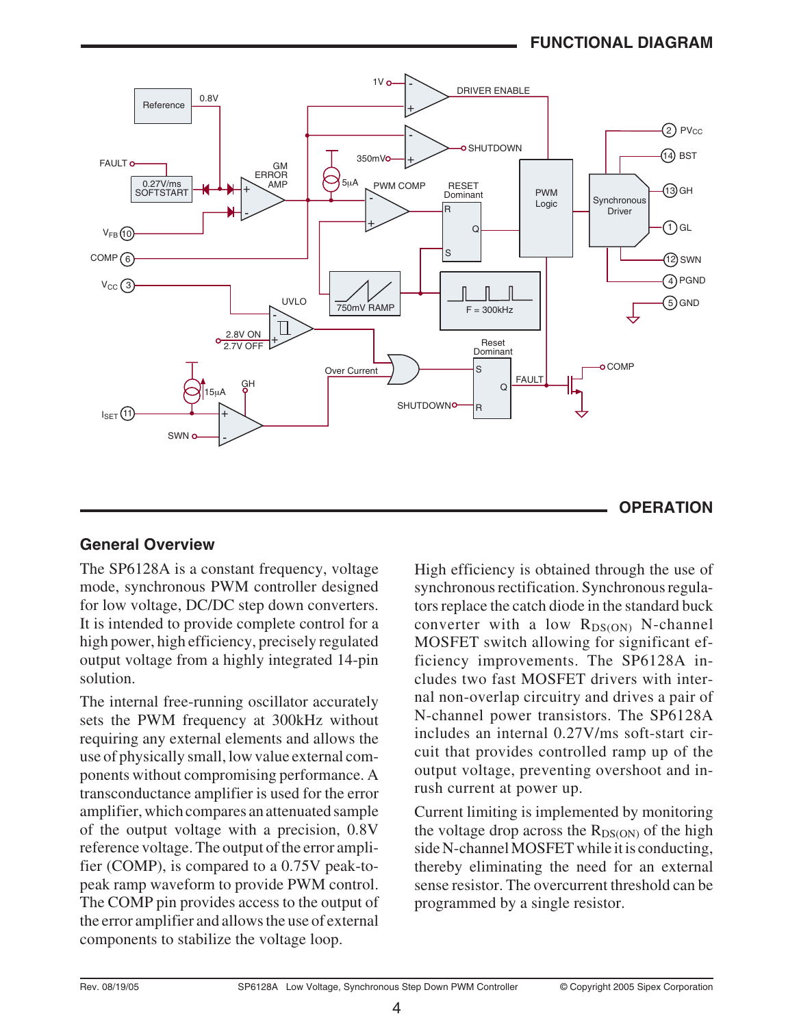### **FUNCTIONAL DIAGRAM**



#### **General Overview**

The SP6128A is a constant frequency, voltage mode, synchronous PWM controller designed for low voltage, DC/DC step down converters. It is intended to provide complete control for a high power, high efficiency, precisely regulated output voltage from a highly integrated 14-pin solution.

The internal free-running oscillator accurately sets the PWM frequency at 300kHz without requiring any external elements and allows the use of physically small, low value external components without compromising performance. A transconductance amplifier is used for the error amplifier, which compares an attenuated sample of the output voltage with a precision, 0.8V reference voltage. The output of the error amplifier (COMP), is compared to a 0.75V peak-topeak ramp waveform to provide PWM control. The COMP pin provides access to the output of the error amplifier and allows the use of external components to stabilize the voltage loop.

High efficiency is obtained through the use of synchronous rectification. Synchronous regulators replace the catch diode in the standard buck converter with a low  $R_{DS(ON)}$  N-channel MOSFET switch allowing for significant efficiency improvements. The SP6128A includes two fast MOSFET drivers with internal non-overlap circuitry and drives a pair of N-channel power transistors. The SP6128A includes an internal 0.27V/ms soft-start circuit that provides controlled ramp up of the output voltage, preventing overshoot and inrush current at power up.

Current limiting is implemented by monitoring the voltage drop across the  $R_{DS(ON)}$  of the high side N-channel MOSFET while it is conducting, thereby eliminating the need for an external sense resistor. The overcurrent threshold can be programmed by a single resistor.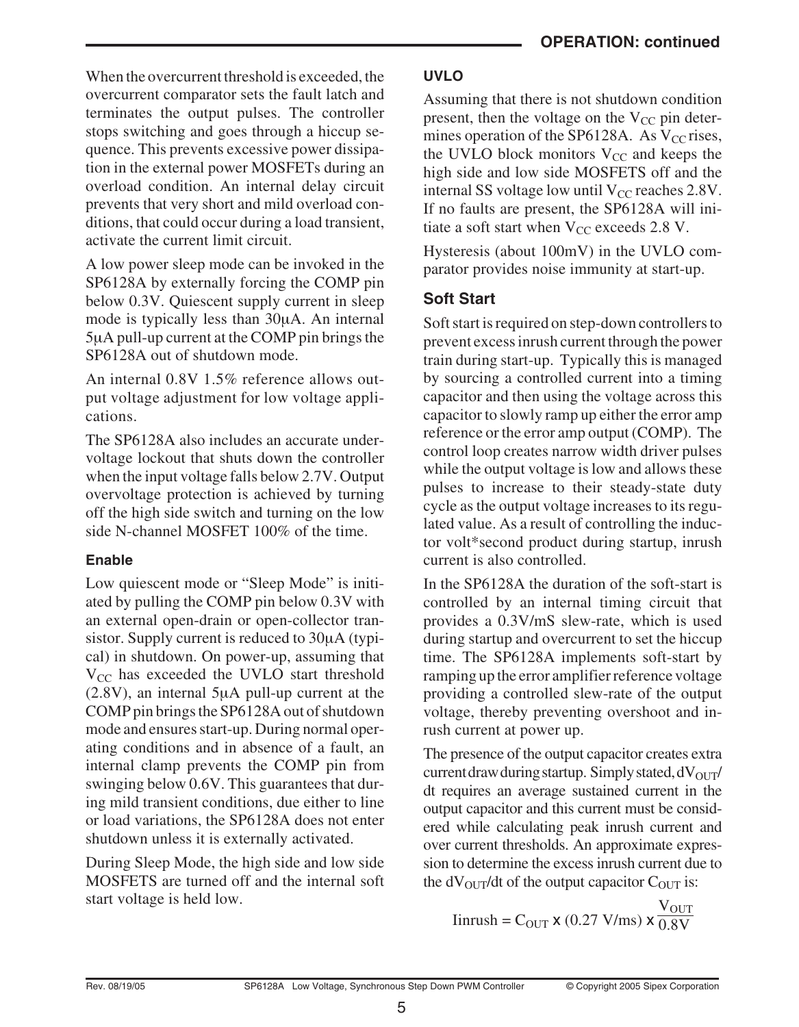When the overcurrent threshold is exceeded, the overcurrent comparator sets the fault latch and terminates the output pulses. The controller stops switching and goes through a hiccup sequence. This prevents excessive power dissipation in the external power MOSFETs during an overload condition. An internal delay circuit prevents that very short and mild overload conditions, that could occur during a load transient, activate the current limit circuit.

A low power sleep mode can be invoked in the SP6128A by externally forcing the COMP pin below 0.3V. Quiescent supply current in sleep mode is typically less than 30µA. An internal 5µA pull-up current at the COMP pin brings the SP6128A out of shutdown mode.

An internal 0.8V 1.5% reference allows output voltage adjustment for low voltage applications.

The SP6128A also includes an accurate undervoltage lockout that shuts down the controller when the input voltage falls below 2.7V. Output overvoltage protection is achieved by turning off the high side switch and turning on the low side N-channel MOSFET 100% of the time.

#### **Enable**

Low quiescent mode or "Sleep Mode" is initiated by pulling the COMP pin below 0.3V with an external open-drain or open-collector transistor. Supply current is reduced to 30µA (typical) in shutdown. On power-up, assuming that  $V_{CC}$  has exceeded the UVLO start threshold (2.8V), an internal 5µA pull-up current at the COMP pin brings the SP6128A out of shutdown mode and ensures start-up. During normal operating conditions and in absence of a fault, an internal clamp prevents the COMP pin from swinging below 0.6V. This guarantees that during mild transient conditions, due either to line or load variations, the SP6128A does not enter shutdown unless it is externally activated.

During Sleep Mode, the high side and low side MOSFETS are turned off and the internal soft start voltage is held low.

### **UVLO**

Assuming that there is not shutdown condition present, then the voltage on the  $V_{CC}$  pin determines operation of the SP6128A. As  $V_{CC}$  rises, the UVLO block monitors  $V_{CC}$  and keeps the high side and low side MOSFETS off and the internal SS voltage low until  $V_{CC}$  reaches 2.8V. If no faults are present, the SP6128A will initiate a soft start when  $V_{CC}$  exceeds 2.8 V.

Hysteresis (about 100mV) in the UVLO comparator provides noise immunity at start-up.

# **Soft Start**

Soft start is required on step-down controllers to prevent excess inrush current through the power train during start-up. Typically this is managed by sourcing a controlled current into a timing capacitor and then using the voltage across this capacitor to slowly ramp up either the error amp reference or the error amp output (COMP). The control loop creates narrow width driver pulses while the output voltage is low and allows these pulses to increase to their steady-state duty cycle as the output voltage increases to its regulated value. As a result of controlling the inductor volt\*second product during startup, inrush current is also controlled.

In the SP6128A the duration of the soft-start is controlled by an internal timing circuit that provides a 0.3V/mS slew-rate, which is used during startup and overcurrent to set the hiccup time. The SP6128A implements soft-start by ramping up the error amplifier reference voltage providing a controlled slew-rate of the output voltage, thereby preventing overshoot and inrush current at power up.

The presence of the output capacitor creates extra current draw during startup. Simply stated,  $dV<sub>OUT</sub>$ dt requires an average sustained current in the output capacitor and this current must be considered while calculating peak inrush current and over current thresholds. An approximate expression to determine the excess inrush current due to the  $dV_{\text{OUT}}/dt$  of the output capacitor  $C_{\text{OUT}}$  is:

 $\text{Iinrush} = \text{C}_{\text{OUT}} \times (0.27 \text{ V/ms}) \times \overline{0.8 \text{ V}}$  $\rm V_{OUT}$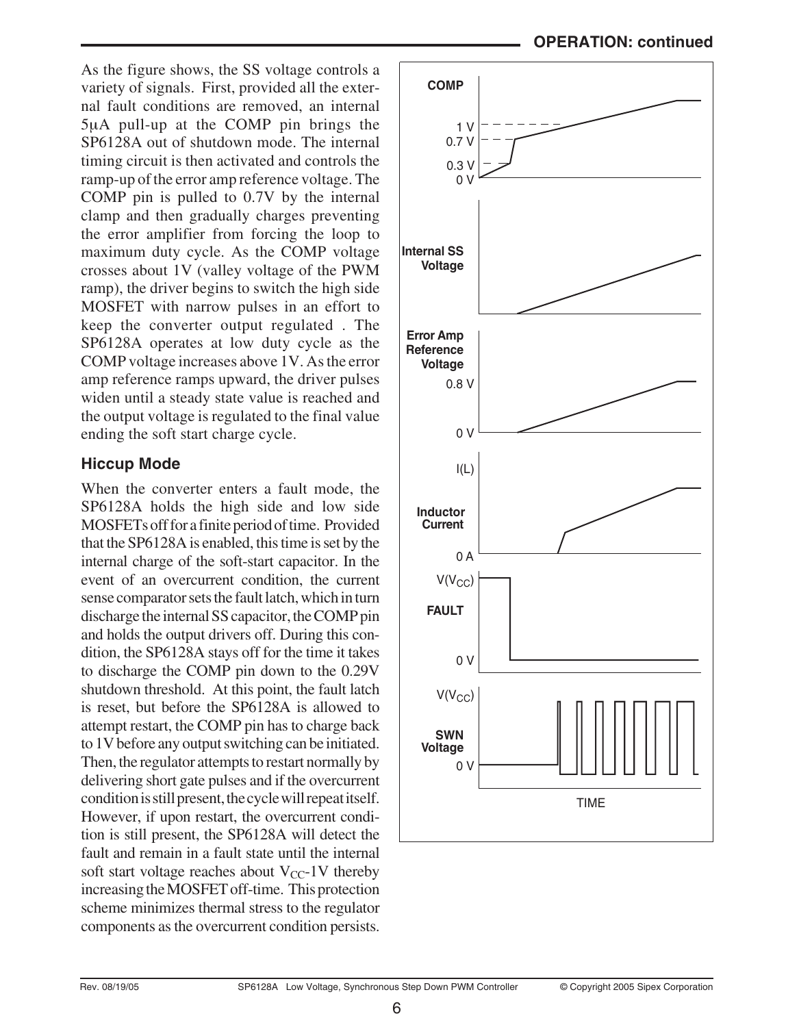As the figure shows, the SS voltage controls a variety of signals. First, provided all the external fault conditions are removed, an internal 5µA pull-up at the COMP pin brings the SP6128A out of shutdown mode. The internal timing circuit is then activated and controls the ramp-up of the error amp reference voltage. The COMP pin is pulled to 0.7V by the internal clamp and then gradually charges preventing the error amplifier from forcing the loop to maximum duty cycle. As the COMP voltage crosses about 1V (valley voltage of the PWM ramp), the driver begins to switch the high side MOSFET with narrow pulses in an effort to keep the converter output regulated . The SP6128A operates at low duty cycle as the COMP voltage increases above 1V. As the error amp reference ramps upward, the driver pulses widen until a steady state value is reached and the output voltage is regulated to the final value ending the soft start charge cycle.

#### **Hiccup Mode**

When the converter enters a fault mode, the SP6128A holds the high side and low side MOSFETs off for a finite period of time. Provided that the SP6128A is enabled, this time is set by the internal charge of the soft-start capacitor. In the event of an overcurrent condition, the current sense comparator sets the fault latch, which in turn discharge the internal SS capacitor, the COMP pin and holds the output drivers off. During this condition, the SP6128A stays off for the time it takes to discharge the COMP pin down to the 0.29V shutdown threshold. At this point, the fault latch is reset, but before the SP6128A is allowed to attempt restart, the COMP pin has to charge back to 1V before any output switching can be initiated. Then, the regulator attempts to restart normally by delivering short gate pulses and if the overcurrent condition is still present, the cycle will repeat itself. However, if upon restart, the overcurrent condition is still present, the SP6128A will detect the fault and remain in a fault state until the internal soft start voltage reaches about  $V_{CC}$ -1V thereby increasing the MOSFET off-time. This protection scheme minimizes thermal stress to the regulator components as the overcurrent condition persists.

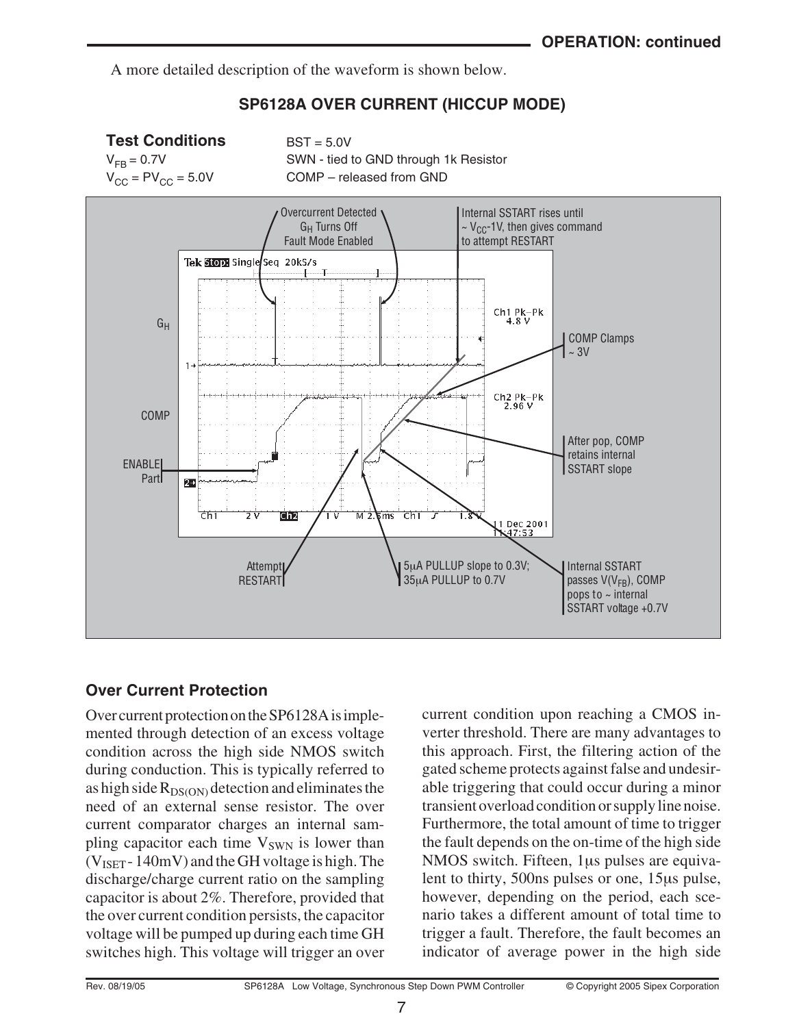A more detailed description of the waveform is shown below.

### **SP6128A OVER CURRENT (HICCUP MODE)**



### **Over Current Protection**

Over current protection on the SP6128A is implemented through detection of an excess voltage condition across the high side NMOS switch during conduction. This is typically referred to as high side  $R_{DS(ON)}$  detection and eliminates the need of an external sense resistor. The over current comparator charges an internal sampling capacitor each time  $V_{SWN}$  is lower than  $(V<sub>ISET</sub> - 140mV)$  and the GH voltage is high. The discharge/charge current ratio on the sampling capacitor is about 2%. Therefore, provided that the over current condition persists, the capacitor voltage will be pumped up during each time GH switches high. This voltage will trigger an over current condition upon reaching a CMOS inverter threshold. There are many advantages to this approach. First, the filtering action of the gated scheme protects against false and undesirable triggering that could occur during a minor transient overload condition or supply line noise. Furthermore, the total amount of time to trigger the fault depends on the on-time of the high side NMOS switch. Fifteen, 1µs pulses are equivalent to thirty, 500ns pulses or one, 15µs pulse, however, depending on the period, each scenario takes a different amount of total time to trigger a fault. Therefore, the fault becomes an indicator of average power in the high side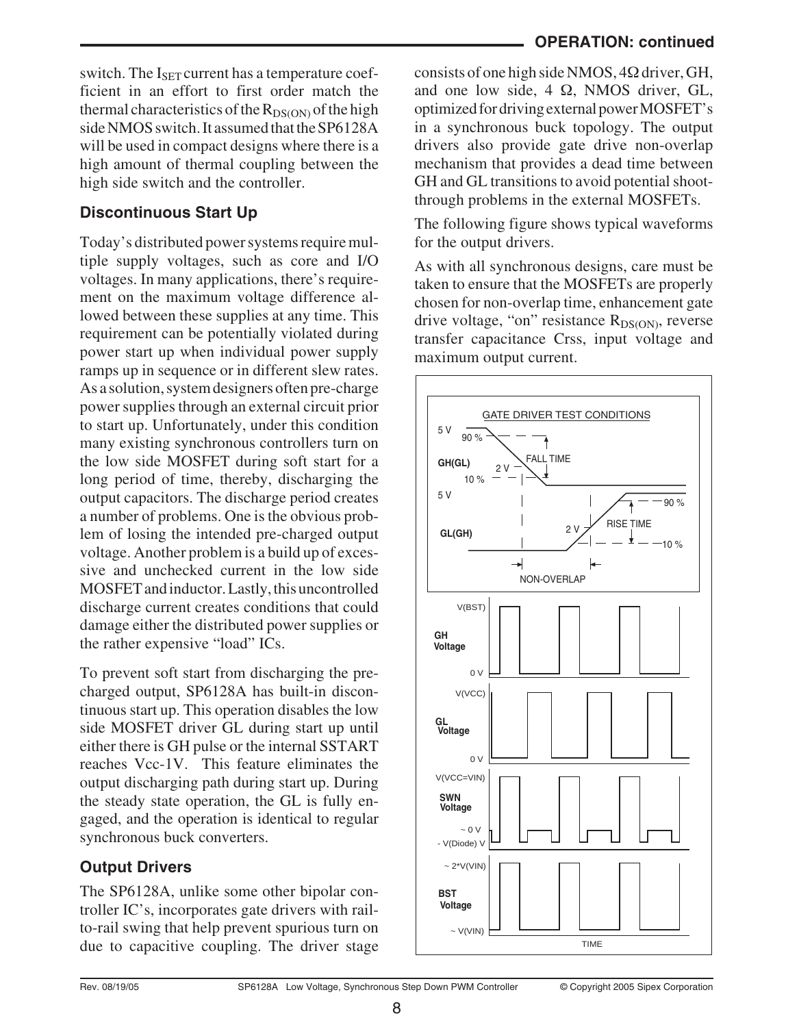switch. The  $I_{\text{SET}}$  current has a temperature coefficient in an effort to first order match the thermal characteristics of the  $R_{DS(ON)}$  of the high side NMOS switch. It assumed that the SP6128A will be used in compact designs where there is a high amount of thermal coupling between the high side switch and the controller.

# **Discontinuous Start Up**

Today's distributed power systems require multiple supply voltages, such as core and I/O voltages. In many applications, there's requirement on the maximum voltage difference allowed between these supplies at any time. This requirement can be potentially violated during power start up when individual power supply ramps up in sequence or in different slew rates. As a solution, system designers often pre-charge power supplies through an external circuit prior to start up. Unfortunately, under this condition many existing synchronous controllers turn on the low side MOSFET during soft start for a long period of time, thereby, discharging the output capacitors. The discharge period creates a number of problems. One is the obvious problem of losing the intended pre-charged output voltage. Another problem is a build up of excessive and unchecked current in the low side MOSFET and inductor. Lastly, this uncontrolled discharge current creates conditions that could damage either the distributed power supplies or the rather expensive "load" ICs.

To prevent soft start from discharging the precharged output, SP6128A has built-in discontinuous start up. This operation disables the low side MOSFET driver GL during start up until either there is GH pulse or the internal SSTART reaches Vcc-1V. This feature eliminates the output discharging path during start up. During the steady state operation, the GL is fully engaged, and the operation is identical to regular synchronous buck converters.

# **Output Drivers**

The SP6128A, unlike some other bipolar controller IC's, incorporates gate drivers with railto-rail swing that help prevent spurious turn on due to capacitive coupling. The driver stage

consists of one high side NMOS,  $4\Omega$  driver, GH, and one low side,  $4 \Omega$ , NMOS driver, GL, optimized for driving external power MOSFET's in a synchronous buck topology. The output drivers also provide gate drive non-overlap mechanism that provides a dead time between GH and GL transitions to avoid potential shootthrough problems in the external MOSFETs.

The following figure shows typical waveforms for the output drivers.

As with all synchronous designs, care must be taken to ensure that the MOSFETs are properly chosen for non-overlap time, enhancement gate drive voltage, "on" resistance  $R_{DS(ON)}$ , reverse transfer capacitance Crss, input voltage and maximum output current.

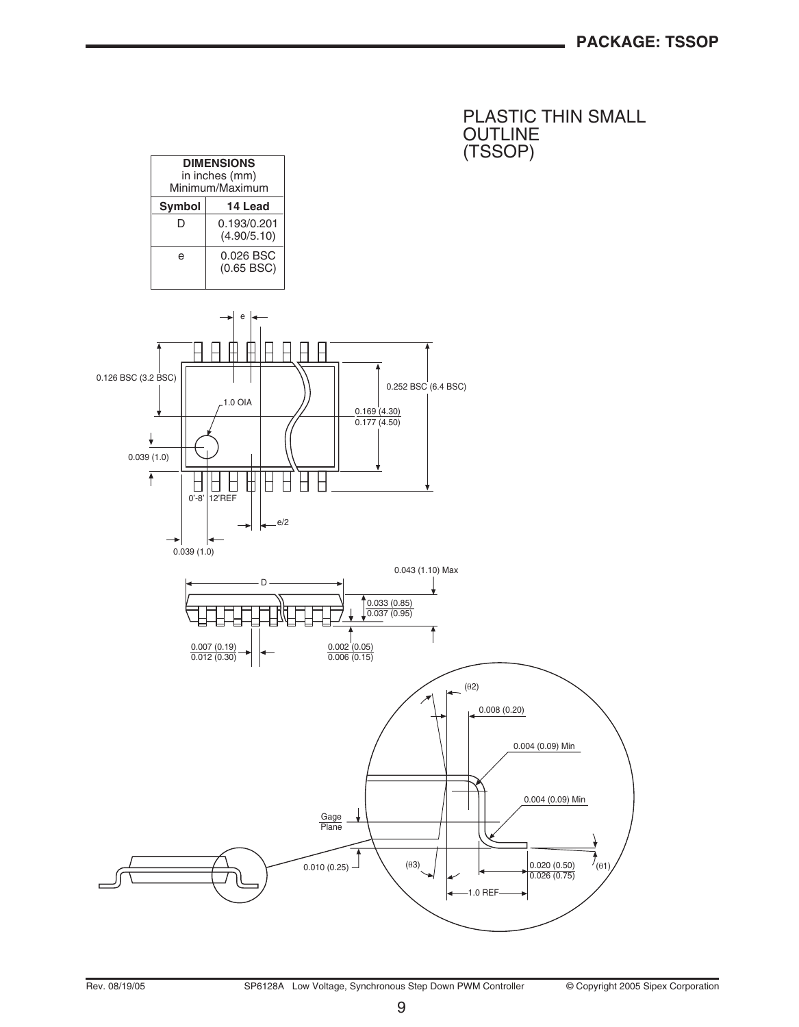